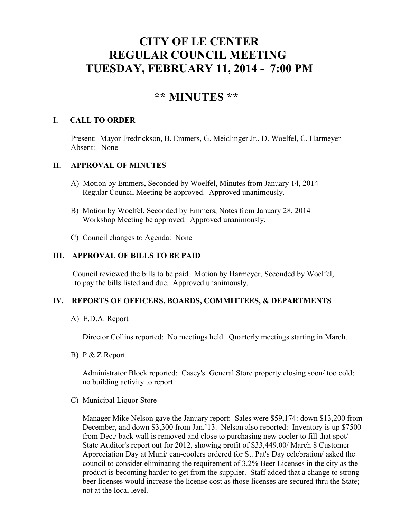# **CITY OF LE CENTER REGULAR COUNCIL MEETING TUESDAY, FEBRUARY 11, 2014 - 7:00 PM**

## **\*\* MINUTES \*\***

#### **I. CALL TO ORDER**

Present: Mayor Fredrickson, B. Emmers, G. Meidlinger Jr., D. Woelfel, C. Harmeyer Absent: None

#### **II. APPROVAL OF MINUTES**

- A) Motion by Emmers, Seconded by Woelfel, Minutes from January 14, 2014 Regular Council Meeting be approved. Approved unanimously.
- B) Motion by Woelfel, Seconded by Emmers, Notes from January 28, 2014 Workshop Meeting be approved. Approved unanimously.
- C) Council changes to Agenda: None

### **III. APPROVAL OF BILLS TO BE PAID**

 Council reviewed the bills to be paid. Motion by Harmeyer, Seconded by Woelfel, to pay the bills listed and due. Approved unanimously.

#### **IV. REPORTS OF OFFICERS, BOARDS, COMMITTEES, & DEPARTMENTS**

A) E.D.A. Report

Director Collins reported: No meetings held. Quarterly meetings starting in March.

B) P & Z Report

 Administrator Block reported: Casey's General Store property closing soon/ too cold; no building activity to report.

C) Municipal Liquor Store

Manager Mike Nelson gave the January report: Sales were \$59,174: down \$13,200 from December, and down \$3,300 from Jan.'13. Nelson also reported: Inventory is up \$7500 from Dec./ back wall is removed and close to purchasing new cooler to fill that spot/ State Auditor's report out for 2012, showing profit of \$33,449.00/ March 8 Customer Appreciation Day at Muni/ can-coolers ordered for St. Pat's Day celebration/ asked the council to consider eliminating the requirement of 3.2% Beer Licenses in the city as the product is becoming harder to get from the supplier. Staff added that a change to strong beer licenses would increase the license cost as those licenses are secured thru the State; not at the local level.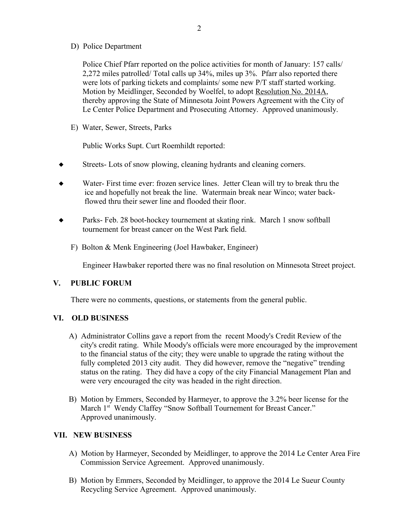D) Police Department

Police Chief Pfarr reported on the police activities for month of January: 157 calls/ 2,272 miles patrolled/ Total calls up 34%, miles up 3%. Pfarr also reported there were lots of parking tickets and complaints/ some new P/T staff started working. Motion by Meidlinger, Seconded by Woelfel, to adopt Resolution No. 2014A, thereby approving the State of Minnesota Joint Powers Agreement with the City of Le Center Police Department and Prosecuting Attorney. Approved unanimously.

E) Water, Sewer, Streets, Parks

Public Works Supt. Curt Roemhildt reported:

- Streets- Lots of snow plowing, cleaning hydrants and cleaning corners.
- Water- First time ever: frozen service lines. Jetter Clean will try to break thru the ice and hopefully not break the line. Watermain break near Winco; water back flowed thru their sewer line and flooded their floor.
- Parks- Feb. 28 boot-hockey tournement at skating rink. March 1 snow softball tournement for breast cancer on the West Park field.
	- F) Bolton & Menk Engineering (Joel Hawbaker, Engineer)

Engineer Hawbaker reported there was no final resolution on Minnesota Street project.

#### **V. PUBLIC FORUM**

There were no comments, questions, or statements from the general public.

#### **VI. OLD BUSINESS**

- A) Administrator Collins gave a report from the recent Moody's Credit Review of the city's credit rating. While Moody's officials were more encouraged by the improvement to the financial status of the city; they were unable to upgrade the rating without the fully completed 2013 city audit. They did however, remove the "negative" trending status on the rating. They did have a copy of the city Financial Management Plan and were very encouraged the city was headed in the right direction.
- B) Motion by Emmers, Seconded by Harmeyer, to approve the 3.2% beer license for the March 1<sup>st</sup> Wendy Claffey "Snow Softball Tournement for Breast Cancer." Approved unanimously.

#### **VII. NEW BUSINESS**

- A) Motion by Harmeyer, Seconded by Meidlinger, to approve the 2014 Le Center Area Fire Commission Service Agreement. Approved unanimously.
- B) Motion by Emmers, Seconded by Meidlinger, to approve the 2014 Le Sueur County Recycling Service Agreement. Approved unanimously.